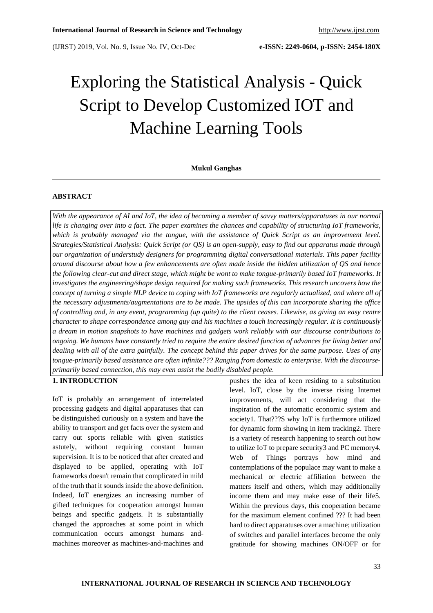# Exploring the Statistical Analysis - Quick Script to Develop Customized IOT and Machine Learning Tools

### **Mukul Ganghas**

# **ABSTRACT**

With the appearance of AI and IoT, the idea of becoming a member of savvy matters/apparatuses in our normal life is changing over into a fact. The paper examines the chances and capability of structuring IoT frameworks, *which is probably managed via the tongue, with the assistance of Quick Script as an improvement level. Strategies/Statistical Analysis: Quick Script (or QS) is an open-supply, easy to find out apparatus made through our organization of understudy designers for programming digital conversational materials. This paper facility* around discourse about how a few enhancements are often made inside the hidden utilization of QS and hence the following clear-cut and direct stage, which might be wont to make tongue-primarily based IoT frameworks. It *investigates the engineering/shape design required for making such frameworks. This research uncovers how the* concept of turning a simple NLP device to coping with IoT frameworks are regularly actualized, and where all of *the necessary adjustments/augmentations are to be made. The upsides of this can incorporate sharing the office* of controlling and, in any event, programming (up quite) to the client ceases. Likewise, as giving an easy centre *character to shape correspondence among guy and his machines a touch increasingly regular. It is continuously* a dream in motion snapshots to have machines and gadgets work reliably with our discourse contributions to ongoing. We humans have constantly tried to require the entire desired function of advances for living better and dealing with all of the extra gainfully. The concept behind this paper drives for the same purpose. Uses of any *tongue-primarily based assistance are often infinite??? Ranging from domestic to enterprise. With the discourseprimarily based connection, this may even assist the bodily disabled people.*

# **1. INTRODUCTION**

IoT is probably an arrangement of interrelated processing gadgets and digital apparatuses that can be distinguished curiously on a system and have the ability to transport and get facts over the system and carry out sports reliable with given statistics astutely, without requiring constant human supervision. It is to be noticed that after created and displayed to be applied, operating with IoT frameworks doesn't remain that complicated in mild of the truth that it sounds inside the above definition. Indeed, IoT energizes an increasing number of gifted techniques for cooperation amongst human beings and specific gadgets. It is substantially changed the approaches at some point in which communication occurs amongst humans andmachines moreover as machines-and-machines and pushes the idea of keen residing to a substitution level. IoT, close by the inverse rising Internet improvements, will act considering that the inspiration of the automatic economic system and society1. That???S why IoT is furthermore utilized for dynamic form showing in item tracking2. There is a variety of research happening to search out how to utilize IoT to prepare security3 and PC memory4. Web of Things portrays how mind and contemplations of the populace may want to make a mechanical or electric affiliation between the matters itself and others, which may additionally income them and may make ease of their life5. Within the previous days, this cooperation became for the maximum element confined ??? It had been hard to direct apparatuses over a machine; utilization of switches and parallel interfaces become the only gratitude for showing machines ON/OFF or for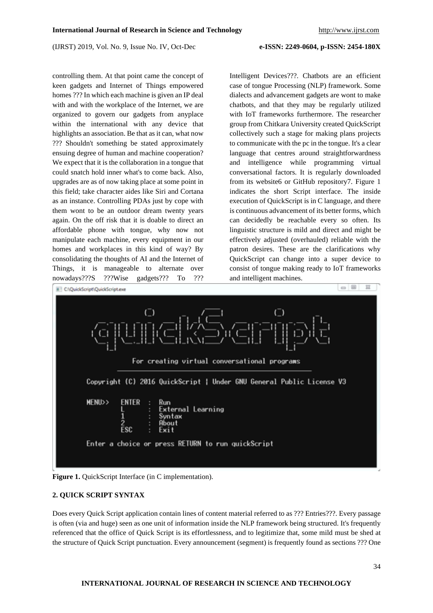controlling them. At that point came the concept of keen gadgets and Internet of Things empowered homes ??? In which each machine is given an IP deal with and with the workplace of the Internet, we are organized to govern our gadgets from anyplace within the international with any device that highlights an association. Be that as it can, what now ??? Shouldn't something be stated approximately ensuing degree of human and machine cooperation? We expect that it is the collaboration in a tongue that could snatch hold inner what's to come back. Also, upgrades are as of now taking place at some point in this field; take character aides like Siri and Cortana as an instance. Controlling PDAs just by cope with them wont to be an outdoor dream twenty years again. On the off risk that it is doable to direct an affordable phone with tongue, why now not manipulate each machine, every equipment in our homes and workplaces in this kind of way? By consolidating the thoughts of AI and the Internet of Things, it is manageable to alternate over nowadays???S ???Wise gadgets??? To ???

Intelligent Devices???. Chatbots are an efficient case of tongue Processing (NLP) framework. Some dialects and advancement gadgets are wont to make chatbots, and that they may be regularly utilized with IoT frameworks furthermore. The researcher group from Chitkara University created QuickScript collectively such a stage for making plans projects to communicate with the pc in the tongue. It's a clear language that centres around straightforwardness and intelligence while programming virtual conversational factors. It is regularly downloaded from its website6 or GitHub repository7. Figure 1 indicates the short Script interface. The inside execution of QuickScript is in C language, and there is continuous advancement of its better forms, which can decidedly be reachable every so often. Its linguistic structure is mild and direct and might be effectively adjusted (overhauled) reliable with the patron desires. These are the clarifications why QuickScript can change into a super device to consist of tongue making ready to IoT frameworks and intelligent machines.



**Figure 1.** QuickScript Interface (in C implementation).

# **2. QUICK SCRIPT SYNTAX**

Does every Quick Script application contain lines of content material referred to as ??? Entries???. Every passage is often (via and huge) seen as one unit of information inside the NLP framework being structured. It's frequently referenced that the office of Quick Script is its effortlessness, and to legitimize that, some mild must be shed at the structure of Quick Script punctuation. Every announcement (segment) is frequently found as sections ??? One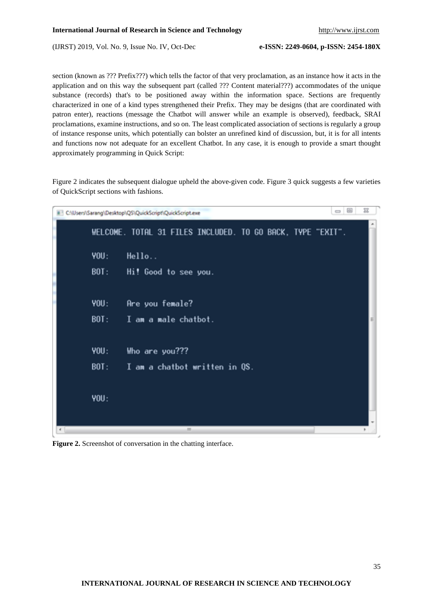section (known as ??? Prefix???) which tells the factor of that very proclamation, as an instance how it acts in the application and on this way the subsequent part (called ??? Content material???) accommodates of the unique substance (records) that's to be positioned away within the information space. Sections are frequently characterized in one of a kind types strengthened their Prefix. They may be designs (that are coordinated with patron enter), reactions (message the Chatbot will answer while an example is observed), feedback, SRAI proclamations, examine instructions, and so on. The least complicated association of sections is regularly a group of instance response units, which potentially can bolster an unrefined kind of discussion, but, it is for all intents and functions now not adequate for an excellent Chatbot. In any case, it is enough to provide a smart thought approximately programming in Quick Script:

Figure 2 indicates the subsequent dialogue upheld the above-given code. Figure 3 quick suggests a few varieties of QuickScript sections with fashions.

| $\boxed{\square}$<br>窓<br>$\qquad \qquad \blacksquare$<br>C:\Users\Sarang\Desktop\QS\QuickScript\QuickScript.exe |                                                            |  |  |  |  |
|------------------------------------------------------------------------------------------------------------------|------------------------------------------------------------|--|--|--|--|
|                                                                                                                  | WELCOME. TOTAL 31 FILES INCLUDED. TO GO BACK, TYPE "EXIT". |  |  |  |  |
| <b>YOU:</b>                                                                                                      | Hello                                                      |  |  |  |  |
| BOT:                                                                                                             | Hi! Good to see you.                                       |  |  |  |  |
|                                                                                                                  |                                                            |  |  |  |  |
| <b>YOU:</b>                                                                                                      | Are you female?                                            |  |  |  |  |
| BOT:                                                                                                             | I am a male chatbot.                                       |  |  |  |  |
| <b>YOU:</b>                                                                                                      | Who are you???                                             |  |  |  |  |
| BOT:                                                                                                             | I am a chatbot written in QS.                              |  |  |  |  |
| <b>YOU:</b>                                                                                                      |                                                            |  |  |  |  |
|                                                                                                                  | m                                                          |  |  |  |  |

**Figure 2.** Screenshot of conversation in the chatting interface.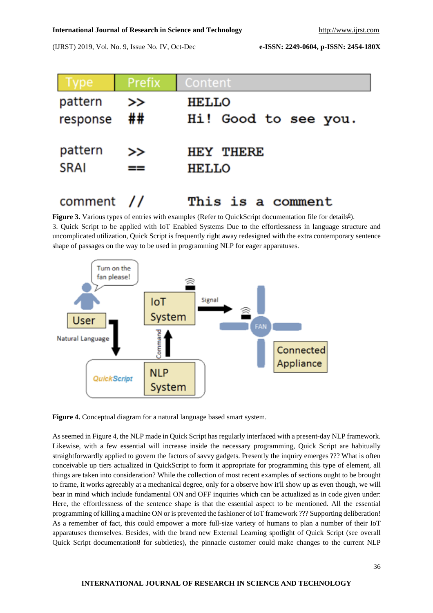#### **International Journal of Research in Science and Technology** [http://www.ijrst.com](http://www.ijrst.com/)

(IJRST) 2019, Vol. No. 9, Issue No. IV, Oct-Dec **e-ISSN: 2249-0604, p-ISSN: 2454-180X**

| Type        | Prefix | Content              |
|-------------|--------|----------------------|
| pattern     | >>     | <b>HELLO</b>         |
| response    | ##     | Hi! Good to see you. |
| pattern     | ⋗⋗     | <b>HEY THERE</b>     |
| <b>SRAI</b> | ==     | <b>HELLO</b>         |
| comment     |        | This is a comment    |

**Figure 3.** Various types of entries with examples (Refer to QuickScript documentation file for details<sup>8</sup>). 3. Quick Script to be applied with IoT Enabled Systems Due to the effortlessness in language structure and uncomplicated utilization, Quick Script is frequently right away redesigned with the extra contemporary sentence shape of passages on the way to be used in programming NLP for eager apparatuses.



**Figure 4.** Conceptual diagram for a natural language based smart system.

As seemed in Figure 4, the NLP made in Quick Script has regularly interfaced with a present-day NLP framework. Likewise, with a few essential will increase inside the necessary programming, Quick Script are habitually straightforwardly applied to govern the factors of savvy gadgets. Presently the inquiry emerges ??? What is often conceivable up tiers actualized in QuickScript to form it appropriate for programming this type of element, all things are taken into consideration? While the collection of most recent examples of sections ought to be brought to frame, it works agreeably at a mechanical degree, only for a observe how it'll show up as even though, we will bear in mind which include fundamental ON and OFF inquiries which can be actualized as in code given under: Here, the effortlessness of the sentence shape is that the essential aspect to be mentioned. All the essential programming of killing a machine ON or is prevented the fashioner of IoT framework ??? Supporting deliberation! As a remember of fact, this could empower a more full-size variety of humans to plan a number of their IoT apparatuses themselves. Besides, with the brand new External Learning spotlight of Quick Script (see overall Quick Script documentation8 for subtleties), the pinnacle customer could make changes to the current NLP

## **INTERNATIONAL JOURNAL OF RESEARCH IN SCIENCE AND TECHNOLOGY**